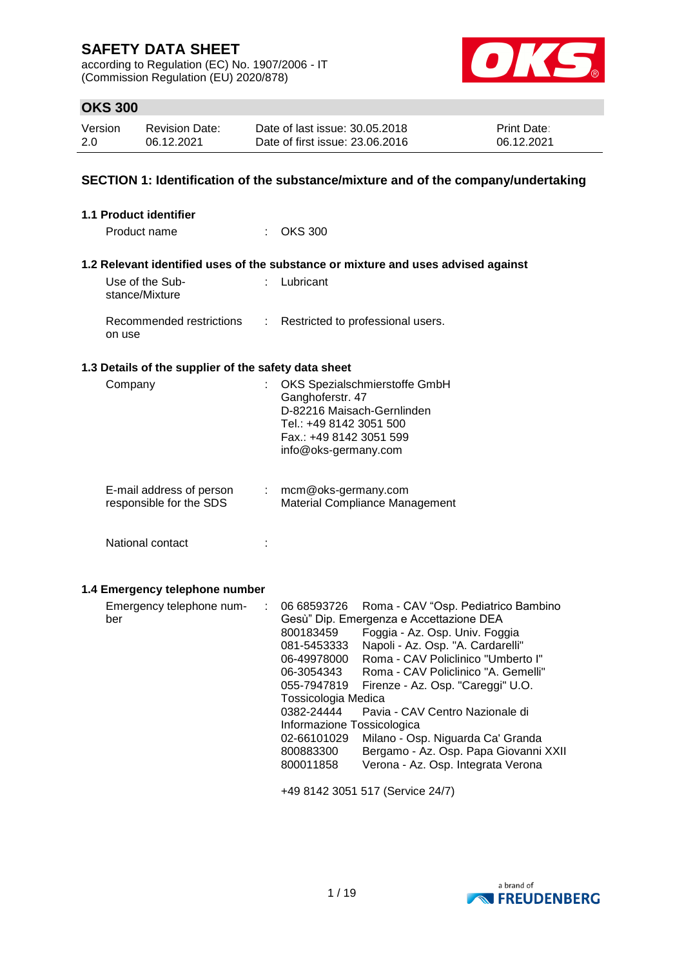according to Regulation (EC) No. 1907/2006 - IT (Commission Regulation (EU) 2020/878)



### **OKS 300**

| Version | <b>Revision Date:</b> | Date of last issue: 30.05.2018  | <b>Print Date:</b> |
|---------|-----------------------|---------------------------------|--------------------|
| 2.0     | 06.12.2021            | Date of first issue: 23,06,2016 | 06.12.2021         |

### **SECTION 1: Identification of the substance/mixture and of the company/undertaking**

| <b>1.1 Product identifier</b>                        |                                                                                                                                                                                                                                                                                                                                                                                                                                                                                                                                                                                                                                   |
|------------------------------------------------------|-----------------------------------------------------------------------------------------------------------------------------------------------------------------------------------------------------------------------------------------------------------------------------------------------------------------------------------------------------------------------------------------------------------------------------------------------------------------------------------------------------------------------------------------------------------------------------------------------------------------------------------|
| Product name                                         | $\therefore$ OKS 300                                                                                                                                                                                                                                                                                                                                                                                                                                                                                                                                                                                                              |
|                                                      | 1.2 Relevant identified uses of the substance or mixture and uses advised against                                                                                                                                                                                                                                                                                                                                                                                                                                                                                                                                                 |
| Use of the Sub-<br>stance/Mixture                    | : Lubricant                                                                                                                                                                                                                                                                                                                                                                                                                                                                                                                                                                                                                       |
| Recommended restrictions<br>÷<br>on use              | Restricted to professional users.                                                                                                                                                                                                                                                                                                                                                                                                                                                                                                                                                                                                 |
| 1.3 Details of the supplier of the safety data sheet |                                                                                                                                                                                                                                                                                                                                                                                                                                                                                                                                                                                                                                   |
| Company<br>÷                                         | OKS Spezialschmierstoffe GmbH<br>Ganghoferstr. 47<br>D-82216 Maisach-Gernlinden<br>Tel.: +49 8142 3051 500<br>Fax.: +49 8142 3051 599<br>info@oks-germany.com                                                                                                                                                                                                                                                                                                                                                                                                                                                                     |
| E-mail address of person<br>responsible for the SDS  | mcm@oks-germany.com<br>Material Compliance Management                                                                                                                                                                                                                                                                                                                                                                                                                                                                                                                                                                             |
| National contact                                     |                                                                                                                                                                                                                                                                                                                                                                                                                                                                                                                                                                                                                                   |
| 1.4 Emergency telephone number                       |                                                                                                                                                                                                                                                                                                                                                                                                                                                                                                                                                                                                                                   |
| Emergency telephone num-<br>÷<br>ber                 | 06 68593726<br>Roma - CAV "Osp. Pediatrico Bambino<br>Gesù" Dip. Emergenza e Accettazione DEA<br>Foggia - Az. Osp. Univ. Foggia<br>800183459<br>Napoli - Az. Osp. "A. Cardarelli"<br>081-5453333<br>Roma - CAV Policlinico "Umberto I"<br>06-49978000<br>Roma - CAV Policlinico "A. Gemelli"<br>06-3054343<br>055-7947819<br>Firenze - Az. Osp. "Careggi" U.O.<br>Tossicologia Medica<br>0382-24444<br>Pavia - CAV Centro Nazionale di<br>Informazione Tossicologica<br>Milano - Osp. Niguarda Ca' Granda<br>02-66101029<br>Bergamo - Az. Osp. Papa Giovanni XXII<br>800883300<br>Verona - Az. Osp. Integrata Verona<br>800011858 |
|                                                      | +49 8142 3051 517 (Service 24/7)                                                                                                                                                                                                                                                                                                                                                                                                                                                                                                                                                                                                  |

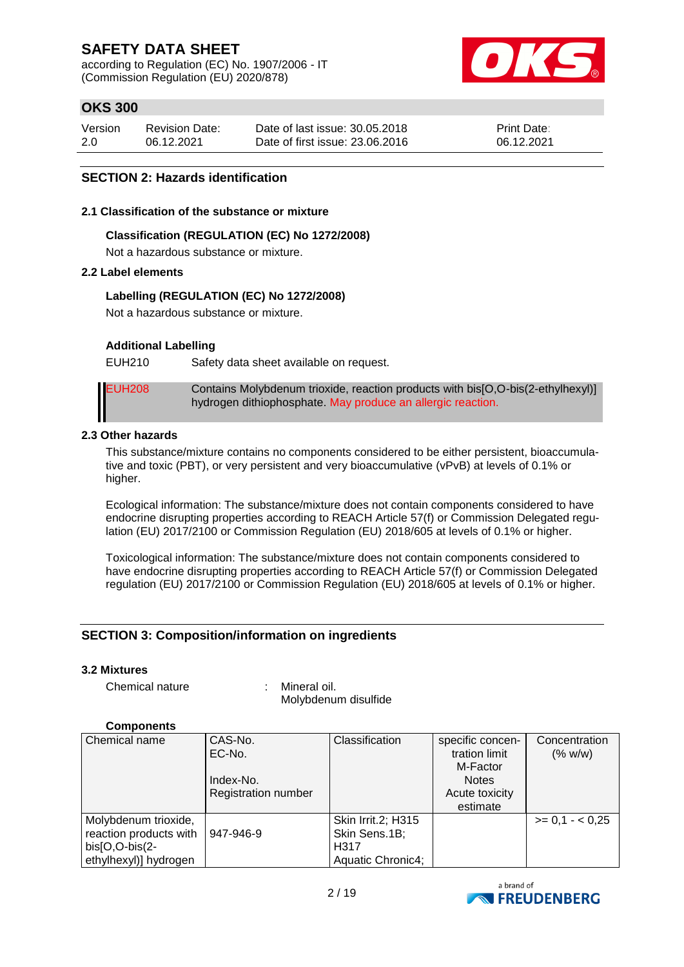according to Regulation (EC) No. 1907/2006 - IT (Commission Regulation (EU) 2020/878)



# **OKS 300**

| Version | <b>Revision Date:</b> | Date of last issue: 30.05.2018  | <b>Print Date:</b> |
|---------|-----------------------|---------------------------------|--------------------|
| 2.0     | 06.12.2021            | Date of first issue: 23,06,2016 | 06.12.2021         |

#### **SECTION 2: Hazards identification**

#### **2.1 Classification of the substance or mixture**

#### **Classification (REGULATION (EC) No 1272/2008)**

Not a hazardous substance or mixture.

#### **2.2 Label elements**

#### **Labelling (REGULATION (EC) No 1272/2008)**

Not a hazardous substance or mixture.

#### **Additional Labelling**

EUH210 Safety data sheet available on request.

EUH208 Contains Molybdenum trioxide, reaction products with bis[O,O-bis(2-ethylhexyl)] hydrogen dithiophosphate. May produce an allergic reaction.

#### **2.3 Other hazards**

This substance/mixture contains no components considered to be either persistent, bioaccumulative and toxic (PBT), or very persistent and very bioaccumulative (vPvB) at levels of 0.1% or higher.

Ecological information: The substance/mixture does not contain components considered to have endocrine disrupting properties according to REACH Article 57(f) or Commission Delegated regulation (EU) 2017/2100 or Commission Regulation (EU) 2018/605 at levels of 0.1% or higher.

Toxicological information: The substance/mixture does not contain components considered to have endocrine disrupting properties according to REACH Article 57(f) or Commission Delegated regulation (EU) 2017/2100 or Commission Regulation (EU) 2018/605 at levels of 0.1% or higher.

#### **SECTION 3: Composition/information on ingredients**

#### **3.2 Mixtures**

Chemical nature : Mineral oil.

Molybdenum disulfide

#### **Components**

| Chemical name          | CAS-No.                    | Classification     | specific concen- | Concentration     |
|------------------------|----------------------------|--------------------|------------------|-------------------|
|                        | EC-No.                     |                    | tration limit    | (% w/w)           |
|                        |                            |                    | M-Factor         |                   |
|                        | Index-No.                  |                    | <b>Notes</b>     |                   |
|                        | <b>Registration number</b> |                    | Acute toxicity   |                   |
|                        |                            |                    | estimate         |                   |
| Molybdenum trioxide,   |                            | Skin Irrit.2; H315 |                  | $>= 0.1 - < 0.25$ |
| reaction products with | 947-946-9                  | Skin Sens.1B;      |                  |                   |
| $bis[O,O-bis(2-$       |                            | H317               |                  |                   |
| ethylhexyl)] hydrogen  |                            | Aquatic Chronic4;  |                  |                   |

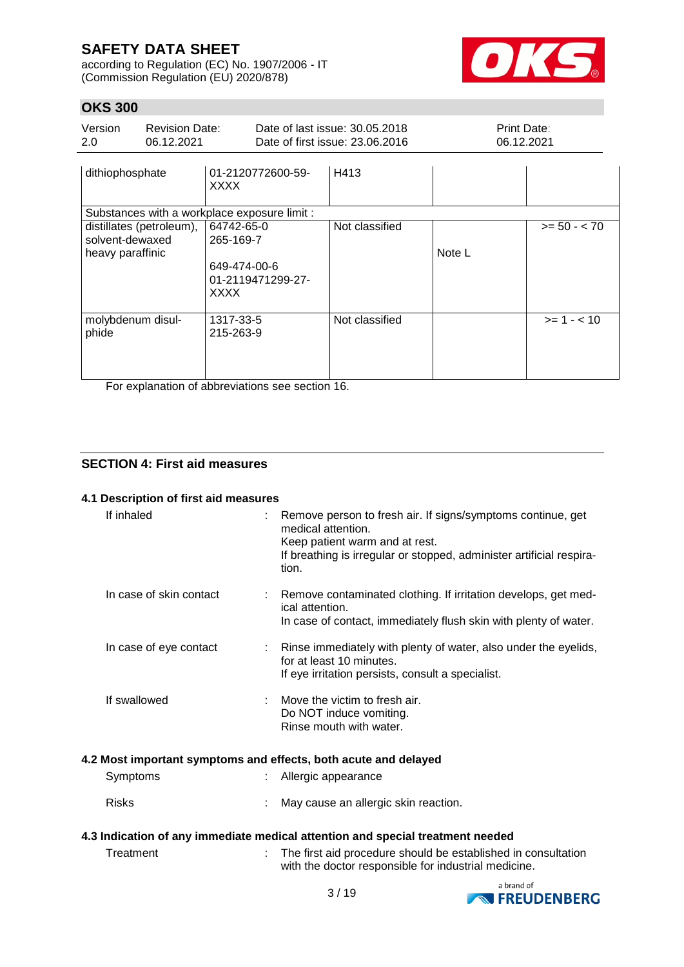according to Regulation (EC) No. 1907/2006 - IT (Commission Regulation (EU) 2020/878)



# **OKS 300**

| Version<br>2.0                      | <b>Revision Date:</b><br>06.12.2021 |                                                                             | Date of last issue: 30.05.2018<br>Date of first issue: 23,06,2016 | <b>Print Date:</b><br>06.12.2021 |                |
|-------------------------------------|-------------------------------------|-----------------------------------------------------------------------------|-------------------------------------------------------------------|----------------------------------|----------------|
| dithiophosphate                     |                                     | 01-2120772600-59-<br><b>XXXX</b>                                            | H413                                                              |                                  |                |
|                                     |                                     | Substances with a workplace exposure limit :                                |                                                                   |                                  |                |
| solvent-dewaxed<br>heavy paraffinic | distillates (petroleum),            | 64742-65-0<br>265-169-7<br>649-474-00-6<br>01-2119471299-27-<br><b>XXXX</b> | Not classified                                                    | Note L                           | $>= 50 - < 70$ |
| molybdenum disul-<br>phide          |                                     | 1317-33-5<br>215-263-9                                                      | Not classified                                                    |                                  | $>= 1 - < 10$  |

For explanation of abbreviations see section 16.

### **SECTION 4: First aid measures**

#### **4.1 Description of first aid measures**

| If inhaled              | Remove person to fresh air. If signs/symptoms continue, get<br>medical attention.<br>Keep patient warm and at rest.<br>If breathing is irregular or stopped, administer artificial respira-<br>tion. |
|-------------------------|------------------------------------------------------------------------------------------------------------------------------------------------------------------------------------------------------|
| In case of skin contact | Remove contaminated clothing. If irritation develops, get med-<br>ical attention.<br>In case of contact, immediately flush skin with plenty of water.                                                |
| In case of eye contact  | Rinse immediately with plenty of water, also under the eyelids,<br>for at least 10 minutes.<br>If eye irritation persists, consult a specialist.                                                     |
| If swallowed            | Move the victim to fresh air.<br>Do NOT induce vomiting.<br>Rinse mouth with water.                                                                                                                  |
|                         | 4.2 Most important symptoms and effects, both acute and delayed                                                                                                                                      |
| Symptoms                | Allergic appearance                                                                                                                                                                                  |
| <b>Risks</b>            | May cause an allergic skin reaction.                                                                                                                                                                 |
|                         | 4.3 Indication of any immediate medical attention and special treatment needed                                                                                                                       |
| Treatment               | The first aid procedure should be established in consultation<br>with the doctor responsible for industrial medicine.                                                                                |
|                         | a brand of                                                                                                                                                                                           |

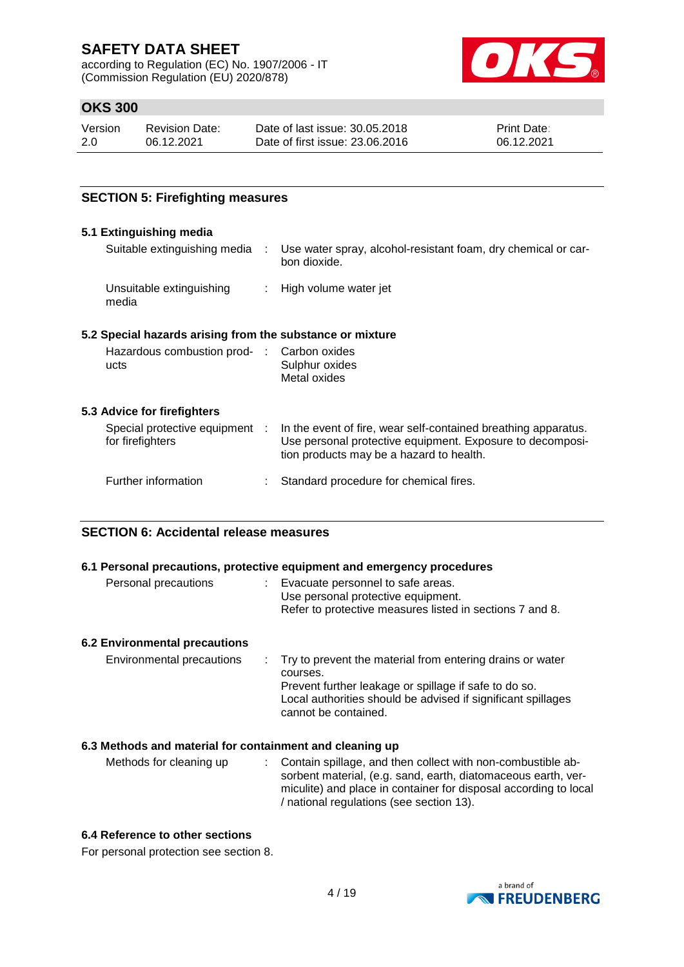according to Regulation (EC) No. 1907/2006 - IT (Commission Regulation (EU) 2020/878)



## **OKS 300**

| Version | <b>Revision Date:</b> | Date of last issue: 30.05.2018  | <b>Print Date:</b> |
|---------|-----------------------|---------------------------------|--------------------|
| 2.0     | 06.12.2021            | Date of first issue: 23,06,2016 | 06.12.2021         |

### **SECTION 5: Firefighting measures**

#### **5.1 Extinguishing media**

| Suitable extinguishing media      | Use water spray, alcohol-resistant foam, dry chemical or car-<br>bon dioxide. |
|-----------------------------------|-------------------------------------------------------------------------------|
| Unsuitable extinguishing<br>media | : High volume water jet                                                       |

### **5.2 Special hazards arising from the substance or mixture**

| Hazardous combustion prod- : Carbon oxides |                |
|--------------------------------------------|----------------|
| ucts                                       | Sulphur oxides |
|                                            | Metal oxides   |

#### **5.3 Advice for firefighters**

| Special protective equipment :<br>for firefighters | In the event of fire, wear self-contained breathing apparatus.<br>Use personal protective equipment. Exposure to decomposi-<br>tion products may be a hazard to health. |
|----------------------------------------------------|-------------------------------------------------------------------------------------------------------------------------------------------------------------------------|
| Further information                                | : Standard procedure for chemical fires.                                                                                                                                |

#### **SECTION 6: Accidental release measures**

#### **6.1 Personal precautions, protective equipment and emergency procedures**

| Personal precautions | Evacuate personnel to safe areas.                        |
|----------------------|----------------------------------------------------------|
|                      | Use personal protective equipment.                       |
|                      | Refer to protective measures listed in sections 7 and 8. |
|                      |                                                          |

#### **6.2 Environmental precautions**

| Environmental precautions | : Try to prevent the material from entering drains or water<br>courses.                                                                       |
|---------------------------|-----------------------------------------------------------------------------------------------------------------------------------------------|
|                           | Prevent further leakage or spillage if safe to do so.<br>Local authorities should be advised if significant spillages<br>cannot be contained. |

#### **6.3 Methods and material for containment and cleaning up**

| Methods for cleaning up | : Contain spillage, and then collect with non-combustible ab-<br>sorbent material, (e.g. sand, earth, diatomaceous earth, ver-<br>miculite) and place in container for disposal according to local<br>/ national regulations (see section 13). |
|-------------------------|------------------------------------------------------------------------------------------------------------------------------------------------------------------------------------------------------------------------------------------------|
|                         |                                                                                                                                                                                                                                                |

#### **6.4 Reference to other sections**

For personal protection see section 8.

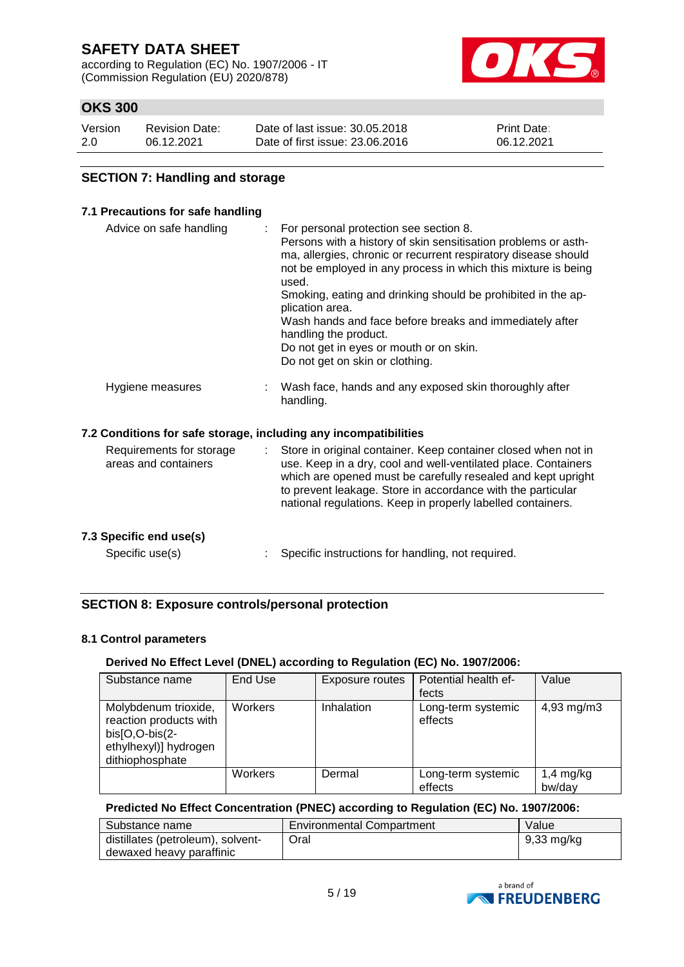according to Regulation (EC) No. 1907/2006 - IT (Commission Regulation (EU) 2020/878)



# **OKS 300**

| Version | Revision Date: | Date of last issue: 30.05.2018  | <b>Print Date:</b> |
|---------|----------------|---------------------------------|--------------------|
| -2.0    | 06.12.2021     | Date of first issue: 23.06.2016 | 06.12.2021         |

#### **SECTION 7: Handling and storage**

#### **7.1 Precautions for safe handling**

| Advice on safe handling                                          | For personal protection see section 8.<br>Persons with a history of skin sensitisation problems or asth-<br>ma, allergies, chronic or recurrent respiratory disease should<br>not be employed in any process in which this mixture is being<br>used.<br>Smoking, eating and drinking should be prohibited in the ap-<br>plication area.<br>Wash hands and face before breaks and immediately after<br>handling the product.<br>Do not get in eyes or mouth or on skin.<br>Do not get on skin or clothing. |
|------------------------------------------------------------------|-----------------------------------------------------------------------------------------------------------------------------------------------------------------------------------------------------------------------------------------------------------------------------------------------------------------------------------------------------------------------------------------------------------------------------------------------------------------------------------------------------------|
| Hygiene measures                                                 | Wash face, hands and any exposed skin thoroughly after<br>handling.                                                                                                                                                                                                                                                                                                                                                                                                                                       |
| 7.2 Conditions for safe storage, including any incompatibilities |                                                                                                                                                                                                                                                                                                                                                                                                                                                                                                           |
| Requirements for storage<br>areas and containers                 | Store in original container. Keep container closed when not in<br>use. Keep in a dry, cool and well-ventilated place. Containers<br>which are opened must be carefully resealed and kept upright<br>to prevent leakage. Store in accordance with the particular<br>national regulations. Keep in properly labelled containers.                                                                                                                                                                            |
| 7.3 Specific end use(s)                                          |                                                                                                                                                                                                                                                                                                                                                                                                                                                                                                           |
| Specific use(s)                                                  | Specific instructions for handling, not required.                                                                                                                                                                                                                                                                                                                                                                                                                                                         |

### **SECTION 8: Exposure controls/personal protection**

#### **8.1 Control parameters**

#### **Derived No Effect Level (DNEL) according to Regulation (EC) No. 1907/2006:**

| Substance name                                                                                                 | End Use | Exposure routes | Potential health ef-<br>fects | Value                 |
|----------------------------------------------------------------------------------------------------------------|---------|-----------------|-------------------------------|-----------------------|
| Molybdenum trioxide,<br>reaction products with<br>$bis[O,O-bis(2-$<br>ethylhexyl)] hydrogen<br>dithiophosphate | Workers | Inhalation      | Long-term systemic<br>effects | $4,93 \, \text{mg/m}$ |
|                                                                                                                | Workers | Dermal          | Long-term systemic<br>effects | $1,4$ mg/kg<br>bw/day |

#### **Predicted No Effect Concentration (PNEC) according to Regulation (EC) No. 1907/2006:**

| Substance name                    | <b>Environmental Compartment</b> | Value      |
|-----------------------------------|----------------------------------|------------|
| distillates (petroleum), solvent- | Oral                             | 9,33 mg/kg |
| dewaxed heavy paraffinic          |                                  |            |

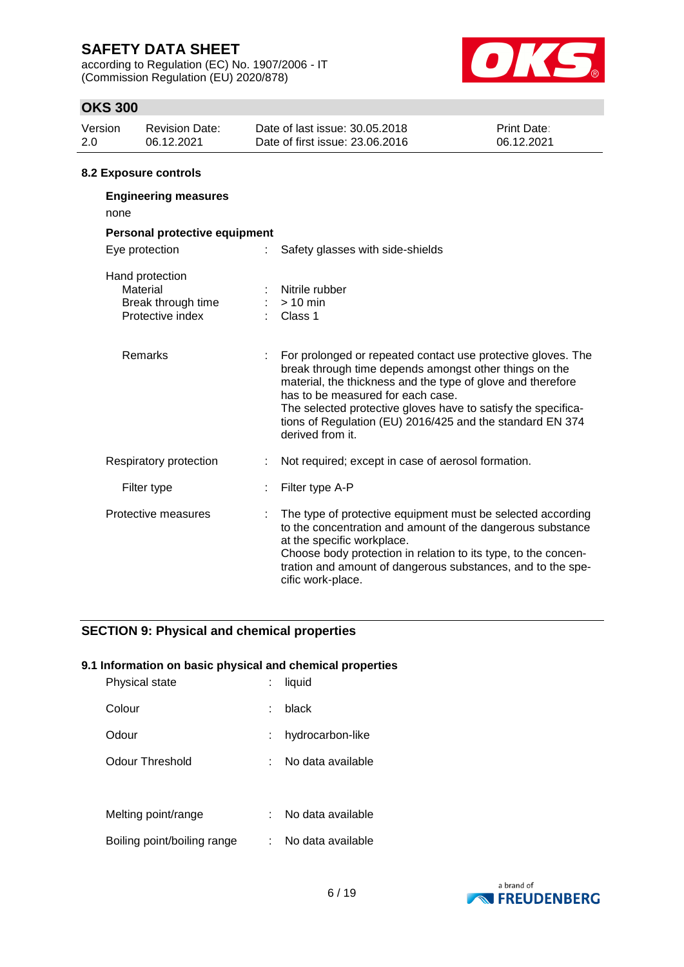according to Regulation (EC) No. 1907/2006 - IT (Commission Regulation (EU) 2020/878)

Break through time : > 10 min



### **OKS 300**

| Version<br>2.0 | <b>Revision Date:</b><br>06.12.2021 | Date of last issue: 30.05.2018<br>Date of first issue: 23.06.2016 |                                  | Print Date:<br>06.12.2021 |
|----------------|-------------------------------------|-------------------------------------------------------------------|----------------------------------|---------------------------|
|                |                                     |                                                                   |                                  |                           |
|                | 8.2 Exposure controls               |                                                                   |                                  |                           |
|                | <b>Engineering measures</b>         |                                                                   |                                  |                           |
| none           |                                     |                                                                   |                                  |                           |
|                | Personal protective equipment       |                                                                   |                                  |                           |
|                | Eye protection                      | ÷                                                                 | Safety glasses with side-shields |                           |
|                | Hand protection<br>Material         |                                                                   | Nitrile rubber                   |                           |

| Protective index       | $\therefore$ Class 1                                                                                                                                                                                                                                                                                                                                                         |
|------------------------|------------------------------------------------------------------------------------------------------------------------------------------------------------------------------------------------------------------------------------------------------------------------------------------------------------------------------------------------------------------------------|
| <b>Remarks</b>         | For prolonged or repeated contact use protective gloves. The<br>break through time depends amongst other things on the<br>material, the thickness and the type of glove and therefore<br>has to be measured for each case.<br>The selected protective gloves have to satisfy the specifica-<br>tions of Regulation (EU) 2016/425 and the standard EN 374<br>derived from it. |
| Respiratory protection | Not required; except in case of aerosol formation.                                                                                                                                                                                                                                                                                                                           |
| Filter type            | Filter type A-P                                                                                                                                                                                                                                                                                                                                                              |
| Protective measures    | The type of protective equipment must be selected according<br>to the concentration and amount of the dangerous substance<br>at the specific workplace.<br>Choose body protection in relation to its type, to the concen-<br>tration and amount of dangerous substances, and to the spe-                                                                                     |

cific work-place.

# **SECTION 9: Physical and chemical properties**

#### **9.1 Information on basic physical and chemical properties**

| Physical state              | liquid            |
|-----------------------------|-------------------|
| Colour                      | black             |
| Odour                       | hydrocarbon-like  |
| Odour Threshold             | No data available |
|                             |                   |
| Melting point/range         | No data available |
| Boiling point/boiling range | No data available |

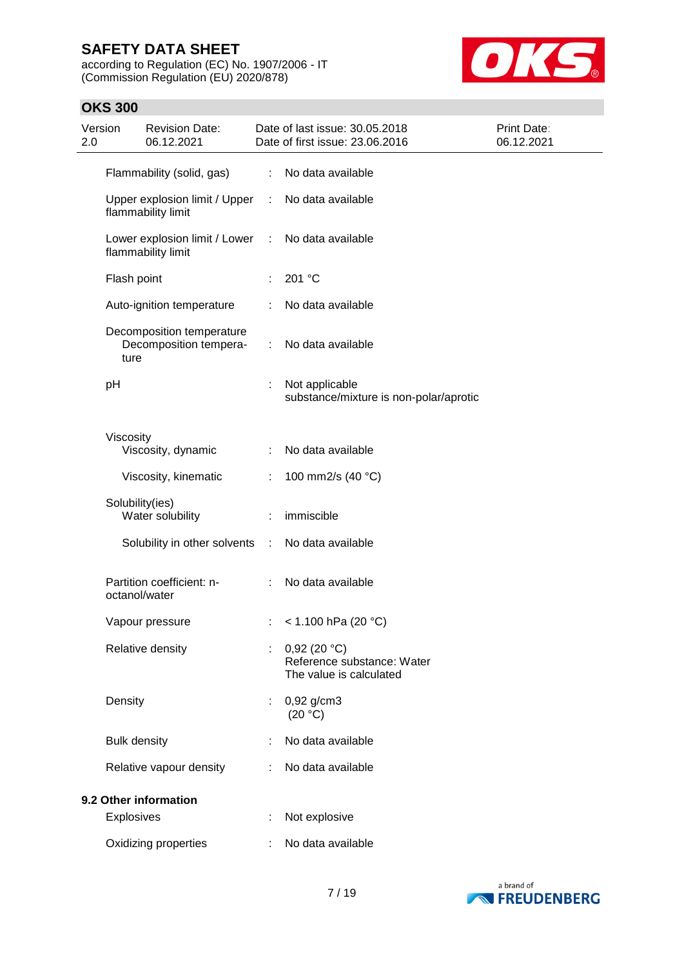according to Regulation (EC) No. 1907/2006 - IT (Commission Regulation (EU) 2020/878)



| Version<br>2.0 |                     | <b>Revision Date:</b><br>06.12.2021                                     |            | Date of last issue: 30.05.2018<br>Date of first issue: 23.06.2016    | Print Date:<br>06.12.2021 |
|----------------|---------------------|-------------------------------------------------------------------------|------------|----------------------------------------------------------------------|---------------------------|
|                |                     | Flammability (solid, gas)                                               |            | : No data available                                                  |                           |
|                |                     | Upper explosion limit / Upper<br>flammability limit                     | $\sim 100$ | No data available                                                    |                           |
|                |                     | Lower explosion limit / Lower : No data available<br>flammability limit |            |                                                                      |                           |
|                | Flash point         |                                                                         | ÷.         | 201 °C                                                               |                           |
|                |                     | Auto-ignition temperature                                               | ÷.         | No data available                                                    |                           |
|                | ture                | Decomposition temperature<br>Decomposition tempera-                     | ÷.         | No data available                                                    |                           |
|                | pH                  |                                                                         | ÷          | Not applicable<br>substance/mixture is non-polar/aprotic             |                           |
|                | Viscosity           |                                                                         |            |                                                                      |                           |
|                |                     | Viscosity, dynamic                                                      |            | No data available                                                    |                           |
|                |                     | Viscosity, kinematic                                                    | ÷.         | 100 mm2/s (40 °C)                                                    |                           |
|                | Solubility(ies)     | Water solubility                                                        | ÷          | immiscible                                                           |                           |
|                |                     | Solubility in other solvents :                                          |            | No data available                                                    |                           |
|                | octanol/water       | Partition coefficient: n-                                               |            | No data available                                                    |                           |
|                |                     | Vapour pressure                                                         |            | : $< 1.100$ hPa (20 °C)                                              |                           |
|                |                     | Relative density                                                        |            | 0,92(20 °C)<br>Reference substance: Water<br>The value is calculated |                           |
|                | Density             |                                                                         |            | $0,92$ g/cm3<br>(20 °C)                                              |                           |
|                | <b>Bulk density</b> |                                                                         |            | No data available                                                    |                           |
|                |                     | Relative vapour density                                                 |            | No data available                                                    |                           |
|                |                     | 9.2 Other information                                                   |            |                                                                      |                           |
|                | Explosives          |                                                                         |            | Not explosive                                                        |                           |
|                |                     | Oxidizing properties                                                    |            | No data available                                                    |                           |

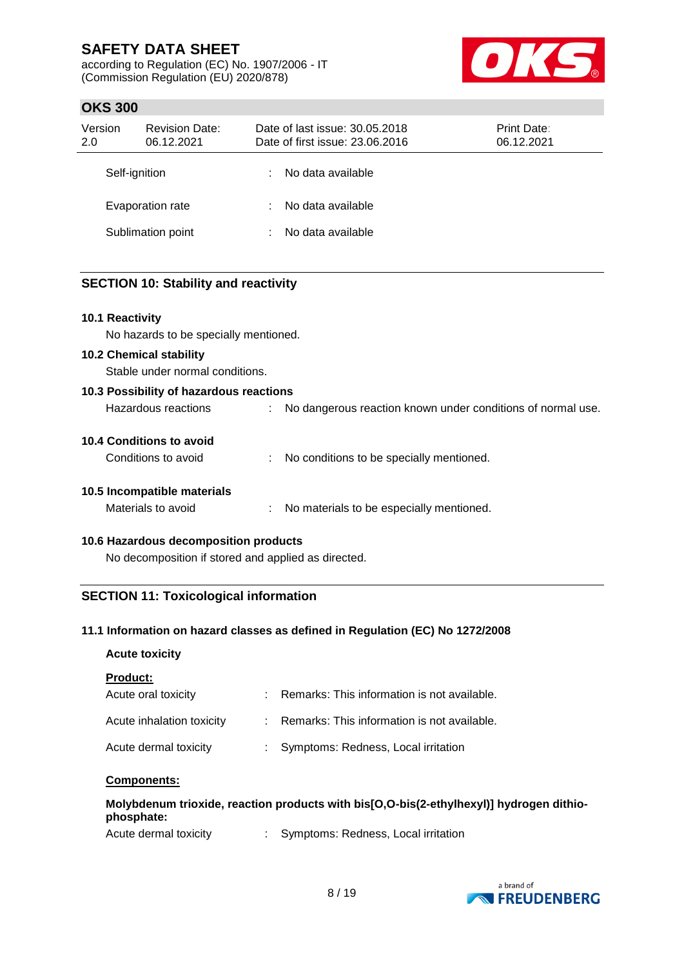according to Regulation (EC) No. 1907/2006 - IT (Commission Regulation (EU) 2020/878)



### **OKS 300**

| Version<br>2.0 | <b>Revision Date:</b><br>06.12.2021 | Date of last issue: 30.05.2018<br>Date of first issue: 23.06.2016 | <b>Print Date:</b><br>06.12.2021 |
|----------------|-------------------------------------|-------------------------------------------------------------------|----------------------------------|
|                | Self-ignition                       | No data available                                                 |                                  |
|                | Evaporation rate                    | No data available                                                 |                                  |
|                | Sublimation point                   | No data available                                                 |                                  |

### **SECTION 10: Stability and reactivity**

#### **10.1 Reactivity**

No hazards to be specially mentioned.

#### **10.2 Chemical stability**

Stable under normal conditions.

| 10.3 Possibility of hazardous reactions |                                                             |
|-----------------------------------------|-------------------------------------------------------------|
| Hazardous reactions                     | No dangerous reaction known under conditions of normal use. |

#### **10.4 Conditions to avoid**

| Conditions to avoid | No conditions to be specially mentioned. |
|---------------------|------------------------------------------|
|                     |                                          |

# **10.5 Incompatible materials**

| Materials to avoid |  | No materials to be especially mentioned. |
|--------------------|--|------------------------------------------|
|--------------------|--|------------------------------------------|

#### **10.6 Hazardous decomposition products**

No decomposition if stored and applied as directed.

### **SECTION 11: Toxicological information**

### **11.1 Information on hazard classes as defined in Regulation (EC) No 1272/2008**

#### **Acute toxicity**

#### **Product:**

| Acute oral toxicity       | : Remarks: This information is not available. |
|---------------------------|-----------------------------------------------|
| Acute inhalation toxicity | : Remarks: This information is not available. |
| Acute dermal toxicity     | : Symptoms: Redness, Local irritation         |

#### **Components:**

### **Molybdenum trioxide, reaction products with bis[O,O-bis(2-ethylhexyl)] hydrogen dithiophosphate:**

| Acute dermal toxicity |  | Symptoms: Redness, Local irritation |
|-----------------------|--|-------------------------------------|
|-----------------------|--|-------------------------------------|

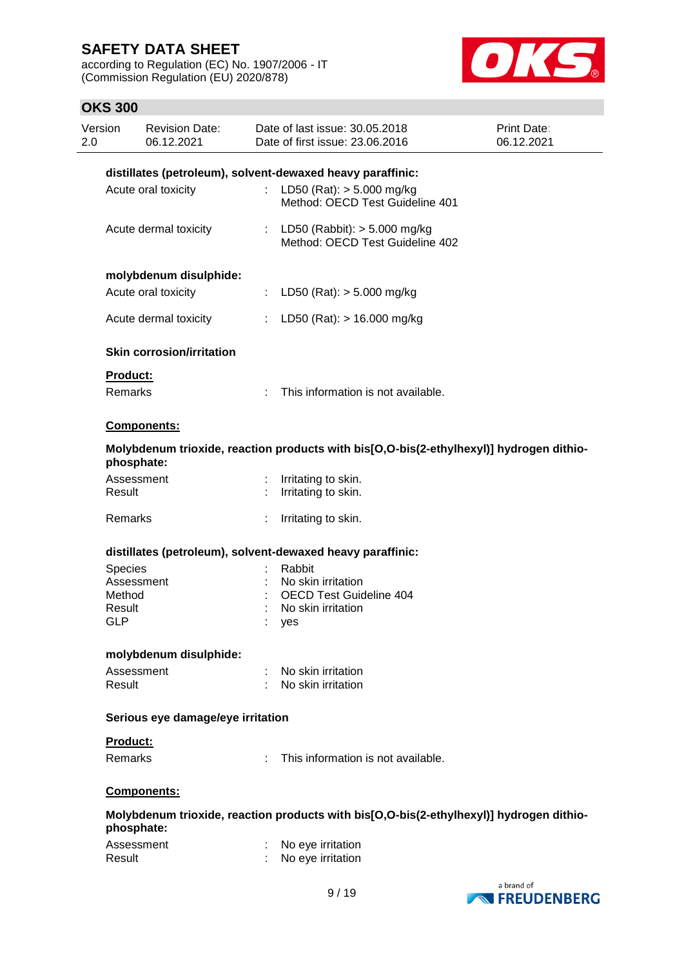according to Regulation (EC) No. 1907/2006 - IT (Commission Regulation (EU) 2020/878)



| Version<br>2.0 |                      | <b>Revision Date:</b><br>06.12.2021 | Date of last issue: 30.05.2018<br>Date of first issue: 23.06.2016                       | Print Date:<br>06.12.2021 |
|----------------|----------------------|-------------------------------------|-----------------------------------------------------------------------------------------|---------------------------|
|                |                      |                                     | distillates (petroleum), solvent-dewaxed heavy paraffinic:                              |                           |
|                |                      | Acute oral toxicity                 | : LD50 (Rat): $> 5.000$ mg/kg<br>Method: OECD Test Guideline 401                        |                           |
|                |                      | Acute dermal toxicity               | : LD50 (Rabbit): $> 5.000$ mg/kg<br>Method: OECD Test Guideline 402                     |                           |
|                |                      | molybdenum disulphide:              |                                                                                         |                           |
|                |                      | Acute oral toxicity                 | : LD50 (Rat): $>$ 5.000 mg/kg                                                           |                           |
|                |                      | Acute dermal toxicity               | : LD50 (Rat): $> 16.000$ mg/kg                                                          |                           |
|                |                      | <b>Skin corrosion/irritation</b>    |                                                                                         |                           |
|                | <b>Product:</b>      |                                     |                                                                                         |                           |
|                | Remarks              |                                     | : This information is not available.                                                    |                           |
|                |                      | <b>Components:</b>                  |                                                                                         |                           |
|                |                      | phosphate:                          | Molybdenum trioxide, reaction products with bis[O,O-bis(2-ethylhexyl)] hydrogen dithio- |                           |
|                | Result               | Assessment                          | : Irritating to skin.<br>Irritating to skin.                                            |                           |
|                | Remarks              |                                     | Irritating to skin.                                                                     |                           |
|                |                      |                                     | distillates (petroleum), solvent-dewaxed heavy paraffinic:                              |                           |
|                | Species              |                                     | Rabbit                                                                                  |                           |
|                |                      | Assessment                          | No skin irritation                                                                      |                           |
|                | Method               |                                     | <b>OECD Test Guideline 404</b>                                                          |                           |
|                | Result<br><b>GLP</b> |                                     | No skin irritation<br>yes                                                               |                           |
|                |                      | molybdenum disulphide:              |                                                                                         |                           |
|                | Result               | Assessment                          | No skin irritation<br>No skin irritation                                                |                           |
|                |                      | Serious eye damage/eye irritation   |                                                                                         |                           |
|                | <b>Product:</b>      |                                     |                                                                                         |                           |
|                | <b>Remarks</b>       |                                     | This information is not available.                                                      |                           |
|                |                      | <b>Components:</b>                  |                                                                                         |                           |
|                |                      | phosphate:                          | Molybdenum trioxide, reaction products with bis[O,O-bis(2-ethylhexyl)] hydrogen dithio- |                           |
|                | Result               | Assessment                          | No eye irritation<br>No eye irritation                                                  |                           |

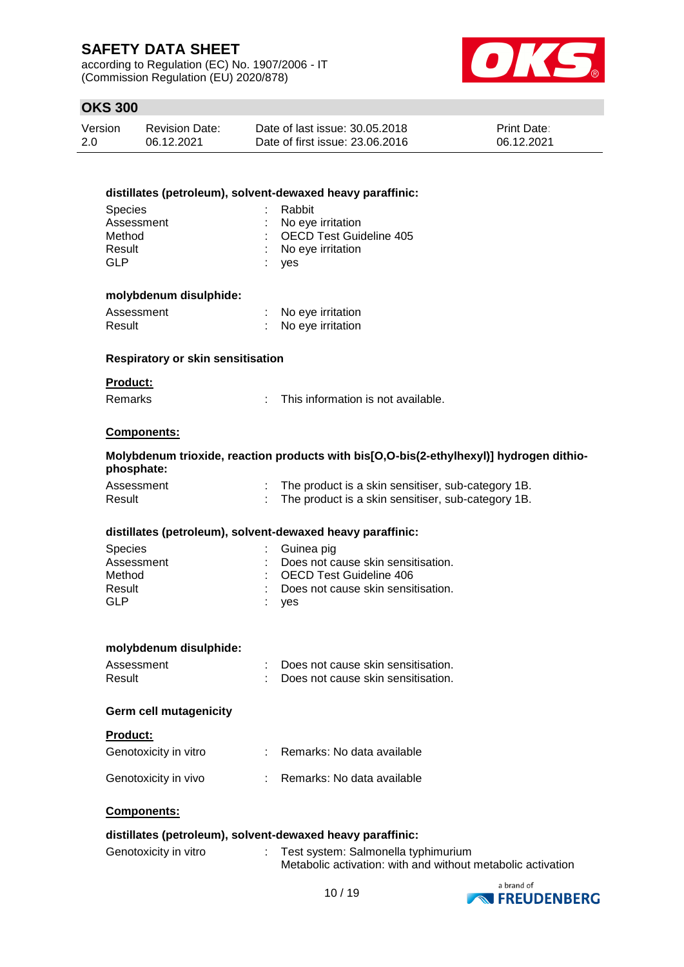according to Regulation (EC) No. 1907/2006 - IT (Commission Regulation (EU) 2020/878)



| Version | <b>Revision Date:</b> | Date of last issue: 30.05.2018  | <b>Print Date:</b> |
|---------|-----------------------|---------------------------------|--------------------|
| 2.0     | 06.12.2021            | Date of first issue: 23,06,2016 | 06.12.2021         |

|                                          | distillates (petroleum), solvent-dewaxed heavy paraffinic:                              |
|------------------------------------------|-----------------------------------------------------------------------------------------|
| <b>Species</b>                           | Rabbit                                                                                  |
| Assessment                               | No eye irritation                                                                       |
| Method                                   | OECD Test Guideline 405                                                                 |
| Result                                   | No eye irritation                                                                       |
| <b>GLP</b>                               | yes                                                                                     |
| molybdenum disulphide:                   |                                                                                         |
| Assessment                               | No eye irritation                                                                       |
| Result                                   | No eye irritation                                                                       |
| <b>Respiratory or skin sensitisation</b> |                                                                                         |
| <b>Product:</b>                          |                                                                                         |
| <b>Remarks</b>                           | This information is not available.                                                      |
| <b>Components:</b>                       |                                                                                         |
| phosphate:                               | Molybdenum trioxide, reaction products with bis[O,O-bis(2-ethylhexyl)] hydrogen dithio- |
| Assessment                               | The product is a skin sensitiser, sub-category 1B.                                      |
| Result                                   | The product is a skin sensitiser, sub-category 1B.                                      |
|                                          | distillates (petroleum), solvent-dewaxed heavy paraffinic:                              |
| <b>Species</b>                           | Guinea pig                                                                              |
| Assessment                               | Does not cause skin sensitisation.                                                      |
| Method                                   | <b>OECD Test Guideline 406</b>                                                          |
| Result                                   | Does not cause skin sensitisation.                                                      |
| <b>GLP</b>                               | yes                                                                                     |
|                                          |                                                                                         |
| molybdenum disulphide:                   |                                                                                         |
| Assessment                               | Does not cause skin sensitisation.                                                      |
| Result                                   | Does not cause skin sensitisation.                                                      |
| <b>Germ cell mutagenicity</b>            |                                                                                         |
| <b>Product:</b>                          |                                                                                         |
| Genotoxicity in vitro                    | Remarks: No data available                                                              |
| Genotoxicity in vivo                     | Remarks: No data available                                                              |
| Components:                              |                                                                                         |
|                                          | distillates (petroleum), solvent-dewaxed heavy paraffinic:                              |
| Genotoxicity in vitro                    | Test system: Salmonella tynhimurium                                                     |

| : Test system: Salmonella typhimurium<br>Genotoxicity in vitro | Metabolic activation: with and without metabolic activation |
|----------------------------------------------------------------|-------------------------------------------------------------|
|----------------------------------------------------------------|-------------------------------------------------------------|

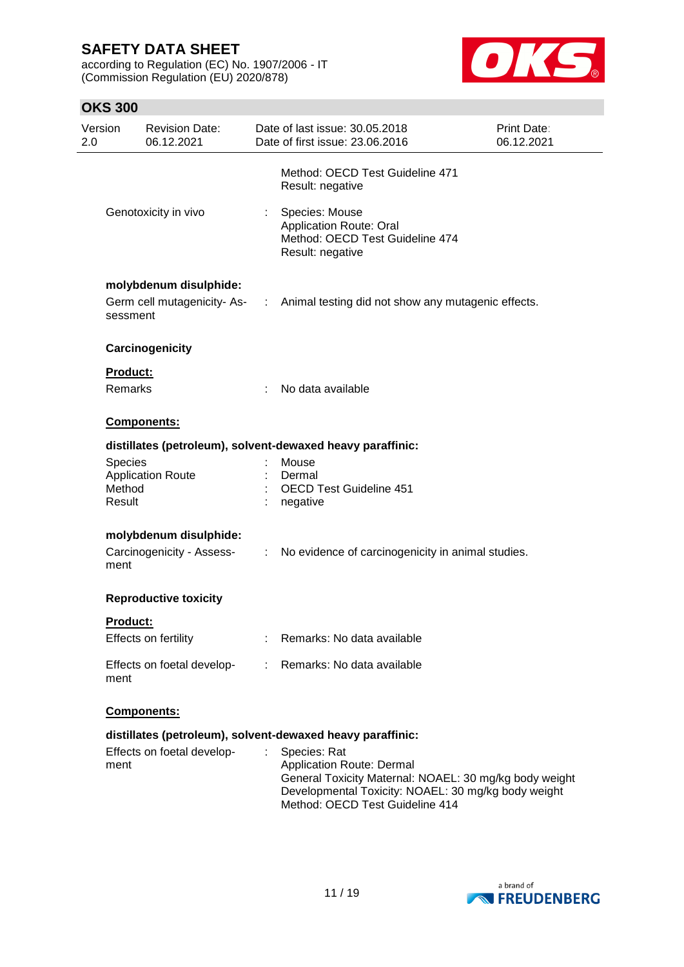according to Regulation (EC) No. 1907/2006 - IT (Commission Regulation (EU) 2020/878)



| Version<br>2.0 |                                    | <b>Revision Date:</b><br>06.12.2021 |                             | Date of last issue: 30.05.2018<br>Date of first issue: 23.06.2016                                                                                                                             | Print Date:<br>06.12.2021 |
|----------------|------------------------------------|-------------------------------------|-----------------------------|-----------------------------------------------------------------------------------------------------------------------------------------------------------------------------------------------|---------------------------|
|                |                                    |                                     |                             | Method: OECD Test Guideline 471<br>Result: negative                                                                                                                                           |                           |
|                |                                    | Genotoxicity in vivo                |                             | Species: Mouse<br><b>Application Route: Oral</b><br>Method: OECD Test Guideline 474<br>Result: negative                                                                                       |                           |
|                |                                    | molybdenum disulphide:              |                             |                                                                                                                                                                                               |                           |
|                | sessment                           | Germ cell mutagenicity- As-         |                             | : Animal testing did not show any mutagenic effects.                                                                                                                                          |                           |
|                |                                    | Carcinogenicity                     |                             |                                                                                                                                                                                               |                           |
|                | <b>Product:</b>                    |                                     |                             |                                                                                                                                                                                               |                           |
|                | <b>Remarks</b>                     |                                     |                             | No data available                                                                                                                                                                             |                           |
|                |                                    | Components:                         |                             |                                                                                                                                                                                               |                           |
|                |                                    |                                     |                             | distillates (petroleum), solvent-dewaxed heavy paraffinic:                                                                                                                                    |                           |
|                | <b>Species</b><br>Method<br>Result | <b>Application Route</b>            |                             | Mouse<br>Dermal<br><b>OECD Test Guideline 451</b><br>negative                                                                                                                                 |                           |
|                |                                    |                                     |                             |                                                                                                                                                                                               |                           |
|                |                                    | molybdenum disulphide:              |                             |                                                                                                                                                                                               |                           |
|                | ment                               | Carcinogenicity - Assess-           | $\mathcal{L}^{\mathcal{L}}$ | No evidence of carcinogenicity in animal studies.                                                                                                                                             |                           |
|                |                                    | <b>Reproductive toxicity</b>        |                             |                                                                                                                                                                                               |                           |
|                | <b>Product:</b>                    |                                     |                             |                                                                                                                                                                                               |                           |
|                |                                    | Effects on fertility                |                             | Remarks: No data available                                                                                                                                                                    |                           |
|                | ment                               | Effects on foetal develop-          |                             | Remarks: No data available                                                                                                                                                                    |                           |
|                |                                    | Components:                         |                             |                                                                                                                                                                                               |                           |
|                |                                    |                                     |                             | distillates (petroleum), solvent-dewaxed heavy paraffinic:                                                                                                                                    |                           |
|                | ment                               | Effects on foetal develop-          |                             | Species: Rat<br>Application Route: Dermal<br>General Toxicity Maternal: NOAEL: 30 mg/kg body weight<br>Developmental Toxicity: NOAEL: 30 mg/kg body weight<br>Method: OECD Test Guideline 414 |                           |

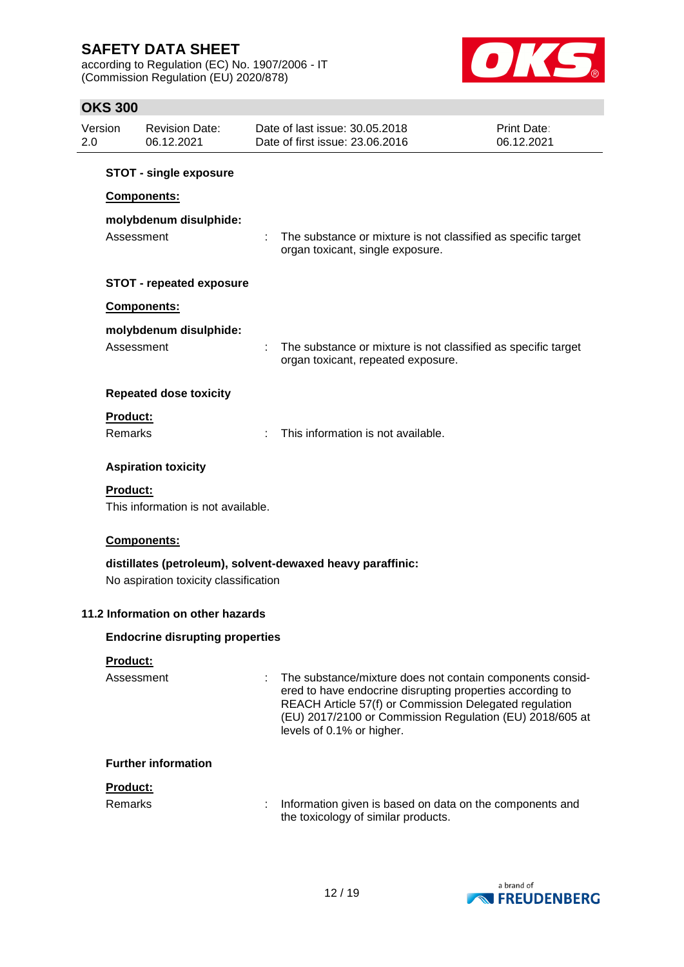according to Regulation (EC) No. 1907/2006 - IT (Commission Regulation (EU) 2020/878)



| Version<br>2.0 |                            | <b>Revision Date:</b><br>06.12.2021    | Date of last issue: 30.05.2018<br>Date of first issue: 23.06.2016                                                                                                                                                                                                         | Print Date:<br>06.12.2021 |
|----------------|----------------------------|----------------------------------------|---------------------------------------------------------------------------------------------------------------------------------------------------------------------------------------------------------------------------------------------------------------------------|---------------------------|
|                |                            | <b>STOT - single exposure</b>          |                                                                                                                                                                                                                                                                           |                           |
|                |                            | Components:                            |                                                                                                                                                                                                                                                                           |                           |
|                | Assessment                 | molybdenum disulphide:                 | The substance or mixture is not classified as specific target<br>organ toxicant, single exposure.                                                                                                                                                                         |                           |
|                |                            | <b>STOT - repeated exposure</b>        |                                                                                                                                                                                                                                                                           |                           |
|                |                            | Components:                            |                                                                                                                                                                                                                                                                           |                           |
|                | Assessment                 | molybdenum disulphide:                 | The substance or mixture is not classified as specific target<br>organ toxicant, repeated exposure.                                                                                                                                                                       |                           |
|                |                            | <b>Repeated dose toxicity</b>          |                                                                                                                                                                                                                                                                           |                           |
|                | Product:                   |                                        |                                                                                                                                                                                                                                                                           |                           |
|                | <b>Remarks</b>             |                                        | This information is not available.                                                                                                                                                                                                                                        |                           |
|                |                            | <b>Aspiration toxicity</b>             |                                                                                                                                                                                                                                                                           |                           |
|                | Product:                   | This information is not available.     |                                                                                                                                                                                                                                                                           |                           |
|                |                            | Components:                            |                                                                                                                                                                                                                                                                           |                           |
|                |                            | No aspiration toxicity classification  | distillates (petroleum), solvent-dewaxed heavy paraffinic:                                                                                                                                                                                                                |                           |
|                |                            | 11.2 Information on other hazards      |                                                                                                                                                                                                                                                                           |                           |
|                |                            | <b>Endocrine disrupting properties</b> |                                                                                                                                                                                                                                                                           |                           |
|                | Product:<br>Assessment     |                                        | The substance/mixture does not contain components consid-<br>ered to have endocrine disrupting properties according to<br>REACH Article 57(f) or Commission Delegated regulation<br>(EU) 2017/2100 or Commission Regulation (EU) 2018/605 at<br>levels of 0.1% or higher. |                           |
|                |                            | <b>Further information</b>             |                                                                                                                                                                                                                                                                           |                           |
|                | Product:<br><b>Remarks</b> |                                        | Information given is based on data on the components and<br>the toxicology of similar products.                                                                                                                                                                           |                           |

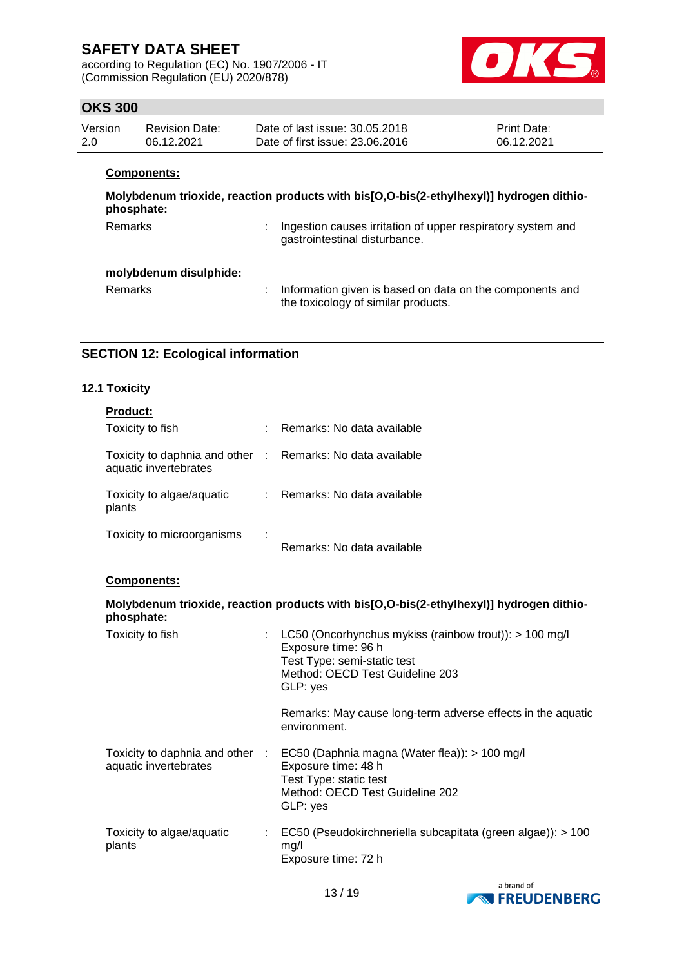according to Regulation (EC) No. 1907/2006 - IT (Commission Regulation (EU) 2020/878)



# **OKS 300**

| Version | Revision Date: | Date of last issue: 30.05.2018  | <b>Print Date:</b> |
|---------|----------------|---------------------------------|--------------------|
| 2.0     | 06.12.2021     | Date of first issue: 23,06,2016 | 06.12.2021         |

#### **Components:**

| phosphate:             | Molybdenum trioxide, reaction products with bis[O,O-bis(2-ethylhexyl)] hydrogen dithio-         |
|------------------------|-------------------------------------------------------------------------------------------------|
| Remarks                | Ingestion causes irritation of upper respiratory system and<br>gastrointestinal disturbance.    |
| molybdenum disulphide: |                                                                                                 |
| <b>Remarks</b>         | Information given is based on data on the components and<br>the toxicology of similar products. |

# **SECTION 12: Ecological information**

# **12.1 Toxicity**

| Product:<br>Toxicity to fish                                                        | : Remarks: No data available                                                                                                                                    |
|-------------------------------------------------------------------------------------|-----------------------------------------------------------------------------------------------------------------------------------------------------------------|
|                                                                                     |                                                                                                                                                                 |
| Toxicity to daphnia and other : Remarks: No data available<br>aquatic invertebrates |                                                                                                                                                                 |
| Toxicity to algae/aquatic<br>plants                                                 | : Remarks: No data available                                                                                                                                    |
| Toxicity to microorganisms                                                          | Remarks: No data available                                                                                                                                      |
| Components:                                                                         |                                                                                                                                                                 |
| phosphate:                                                                          | Molybdenum trioxide, reaction products with bis[O,O-bis(2-ethylhexyl)] hydrogen dithio-                                                                         |
| Toxicity to fish                                                                    | : LC50 (Oncorhynchus mykiss (rainbow trout)): $> 100$ mg/l<br>Exposure time: 96 h<br>Test Type: semi-static test<br>Method: OECD Test Guideline 203<br>GLP: yes |
|                                                                                     | Remarks: May cause long-term adverse effects in the aquatic<br>environment.                                                                                     |
| Toxicity to daphnia and other :<br>aquatic invertebrates                            | EC50 (Daphnia magna (Water flea)): > 100 mg/l<br>Exposure time: 48 h<br>Test Type: static test<br>Method: OECD Test Guideline 202<br>GLP: yes                   |
| Toxicity to algae/aquatic<br>plants                                                 | : EC50 (Pseudokirchneriella subcapitata (green algae)): > 100<br>mg/l<br>Exposure time: 72 h                                                                    |

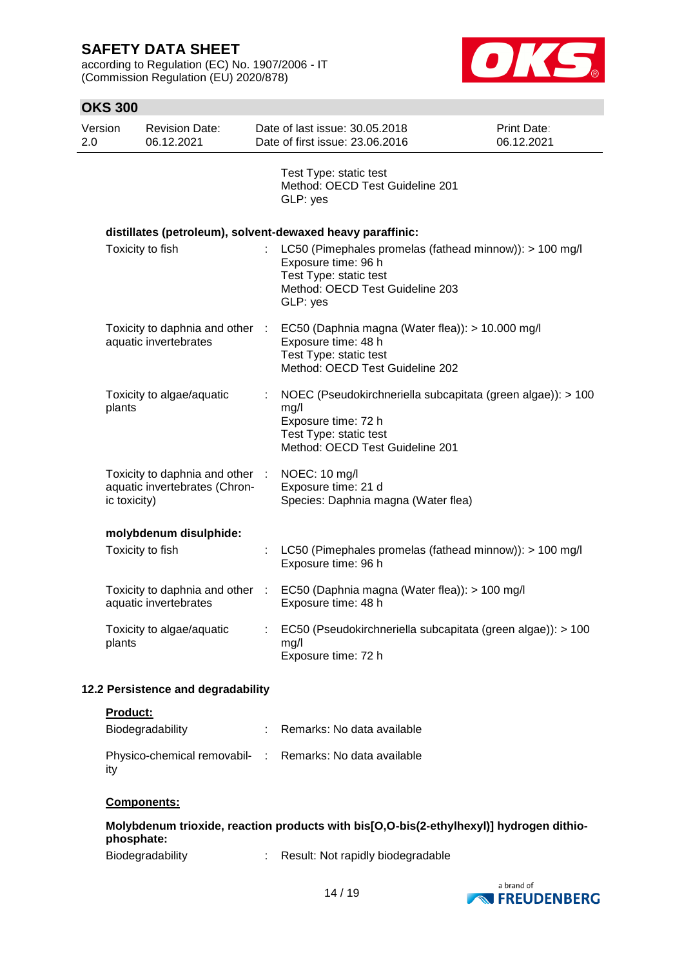according to Regulation (EC) No. 1907/2006 - IT (Commission Regulation (EU) 2020/878)



| <b>OKS 300</b> |                  |                                                                  |   |                                                                                                                                                         |                           |
|----------------|------------------|------------------------------------------------------------------|---|---------------------------------------------------------------------------------------------------------------------------------------------------------|---------------------------|
| Version<br>2.0 |                  | <b>Revision Date:</b><br>06.12.2021                              |   | Date of last issue: 30.05.2018<br>Date of first issue: 23.06.2016                                                                                       | Print Date:<br>06.12.2021 |
|                |                  |                                                                  |   | Test Type: static test<br>Method: OECD Test Guideline 201<br>GLP: yes                                                                                   |                           |
|                |                  |                                                                  |   | distillates (petroleum), solvent-dewaxed heavy paraffinic:                                                                                              |                           |
|                | Toxicity to fish |                                                                  |   | LC50 (Pimephales promelas (fathead minnow)): > 100 mg/l<br>Exposure time: 96 h<br>Test Type: static test<br>Method: OECD Test Guideline 203<br>GLP: yes |                           |
|                |                  | Toxicity to daphnia and other :<br>aquatic invertebrates         |   | EC50 (Daphnia magna (Water flea)): > 10.000 mg/l<br>Exposure time: 48 h<br>Test Type: static test<br>Method: OECD Test Guideline 202                    |                           |
|                | plants           | Toxicity to algae/aquatic                                        |   | NOEC (Pseudokirchneriella subcapitata (green algae)): > 100<br>mg/l<br>Exposure time: 72 h<br>Test Type: static test<br>Method: OECD Test Guideline 201 |                           |
|                | ic toxicity)     | Toxicity to daphnia and other :<br>aquatic invertebrates (Chron- |   | NOEC: 10 mg/l<br>Exposure time: 21 d<br>Species: Daphnia magna (Water flea)                                                                             |                           |
|                |                  | molybdenum disulphide:                                           |   |                                                                                                                                                         |                           |
|                | Toxicity to fish |                                                                  |   | LC50 (Pimephales promelas (fathead minnow)): > 100 mg/l<br>Exposure time: 96 h                                                                          |                           |
|                |                  | Toxicity to daphnia and other :<br>aquatic invertebrates         |   | EC50 (Daphnia magna (Water flea)): > 100 mg/l<br>Exposure time: 48 h                                                                                    |                           |
|                | plants           | Toxicity to algae/aquatic                                        | ÷ | EC50 (Pseudokirchneriella subcapitata (green algae)): > 100<br>mg/l<br>Exposure time: 72 h                                                              |                           |
|                |                  | 12.2 Persistence and degradability                               |   |                                                                                                                                                         |                           |

#### **Product:**

| Biodegradability                                                | : Remarks: No data available |
|-----------------------------------------------------------------|------------------------------|
| Physico-chemical removabil- : Remarks: No data available<br>ity |                              |

#### **Components:**

|            |  |  | Molybdenum trioxide, reaction products with bis[O,O-bis(2-ethylhexyl)] hydrogen dithio- |  |
|------------|--|--|-----------------------------------------------------------------------------------------|--|
| phosphate: |  |  |                                                                                         |  |
| $ -$       |  |  |                                                                                         |  |

| Biodegradability |  | Result: Not rapidly biodegradable |
|------------------|--|-----------------------------------|
|------------------|--|-----------------------------------|

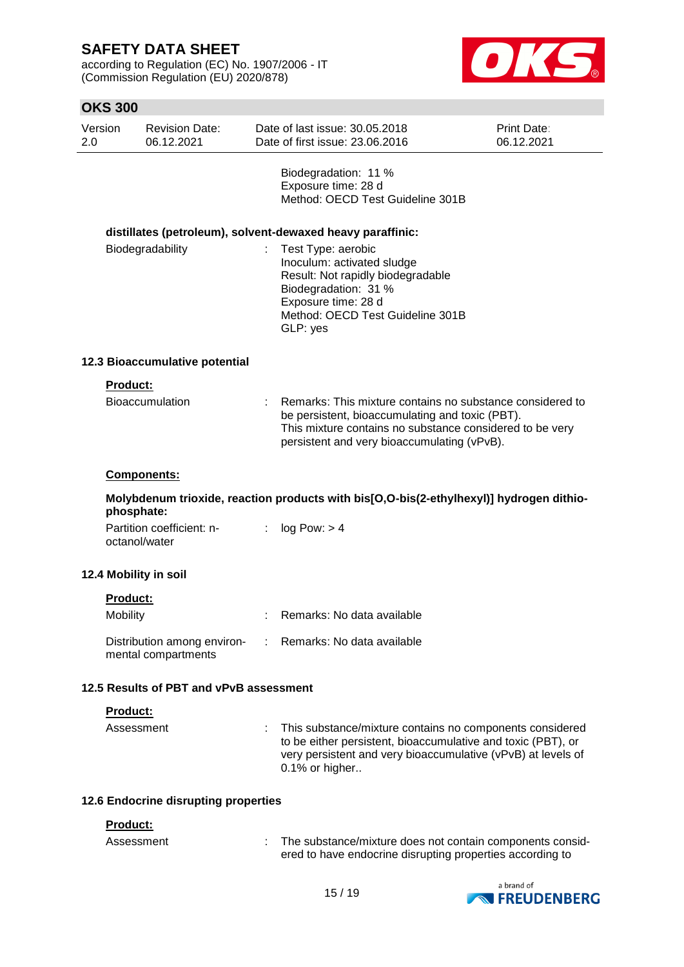according to Regulation (EC) No. 1907/2006 - IT (Commission Regulation (EU) 2020/878)



|                  | <b>OKS 300</b>  |                                                    |                                                                                                                                                                                      |                                                                                                                                                                                                                         |                           |  |
|------------------|-----------------|----------------------------------------------------|--------------------------------------------------------------------------------------------------------------------------------------------------------------------------------------|-------------------------------------------------------------------------------------------------------------------------------------------------------------------------------------------------------------------------|---------------------------|--|
| Version<br>2.0   |                 | <b>Revision Date:</b><br>06.12.2021                |                                                                                                                                                                                      | Date of last issue: 30.05.2018<br>Date of first issue: 23.06.2016                                                                                                                                                       | Print Date:<br>06.12.2021 |  |
|                  |                 |                                                    |                                                                                                                                                                                      | Biodegradation: 11 %<br>Exposure time: 28 d<br>Method: OECD Test Guideline 301B                                                                                                                                         |                           |  |
|                  |                 |                                                    |                                                                                                                                                                                      | distillates (petroleum), solvent-dewaxed heavy paraffinic:                                                                                                                                                              |                           |  |
| Biodegradability |                 |                                                    | Test Type: aerobic<br>Inoculum: activated sludge<br>Result: Not rapidly biodegradable<br>Biodegradation: 31 %<br>Exposure time: 28 d<br>Method: OECD Test Guideline 301B<br>GLP: yes |                                                                                                                                                                                                                         |                           |  |
|                  |                 | 12.3 Bioaccumulative potential                     |                                                                                                                                                                                      |                                                                                                                                                                                                                         |                           |  |
|                  | <b>Product:</b> |                                                    |                                                                                                                                                                                      |                                                                                                                                                                                                                         |                           |  |
|                  | Bioaccumulation |                                                    |                                                                                                                                                                                      | Remarks: This mixture contains no substance considered to<br>be persistent, bioaccumulating and toxic (PBT).<br>This mixture contains no substance considered to be very<br>persistent and very bioaccumulating (vPvB). |                           |  |
|                  |                 | Components:                                        |                                                                                                                                                                                      |                                                                                                                                                                                                                         |                           |  |
|                  | phosphate:      |                                                    |                                                                                                                                                                                      | Molybdenum trioxide, reaction products with bis[O,O-bis(2-ethylhexyl)] hydrogen dithio-                                                                                                                                 |                           |  |
|                  |                 | Partition coefficient: n-<br>octanol/water         | ÷                                                                                                                                                                                    | log Pow: > 4                                                                                                                                                                                                            |                           |  |
|                  |                 | 12.4 Mobility in soil                              |                                                                                                                                                                                      |                                                                                                                                                                                                                         |                           |  |
|                  | <b>Product:</b> |                                                    |                                                                                                                                                                                      |                                                                                                                                                                                                                         |                           |  |
|                  | Mobility        |                                                    |                                                                                                                                                                                      | Remarks: No data available                                                                                                                                                                                              |                           |  |
|                  |                 | Distribution among environ-<br>mental compartments |                                                                                                                                                                                      | Remarks: No data available                                                                                                                                                                                              |                           |  |
|                  |                 | 12.5 Results of PBT and vPvB assessment            |                                                                                                                                                                                      |                                                                                                                                                                                                                         |                           |  |
|                  | Product:        |                                                    |                                                                                                                                                                                      |                                                                                                                                                                                                                         |                           |  |
|                  | Assessment      |                                                    |                                                                                                                                                                                      | This substance/mixture contains no components considered<br>to be either persistent, bioaccumulative and toxic (PBT), or<br>very persistent and very bioaccumulative (vPvB) at levels of<br>0.1% or higher              |                           |  |

### **12.6 Endocrine disrupting properties**

### **Product:**

| Assessment | The substance/mixture does not contain components consid- |
|------------|-----------------------------------------------------------|
|            | ered to have endocrine disrupting properties according to |

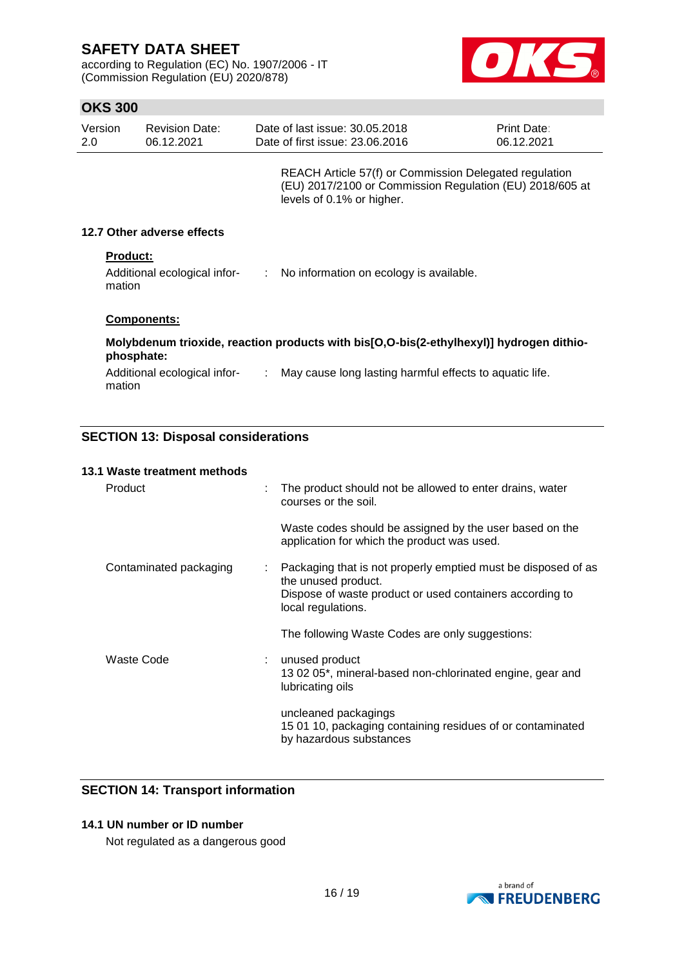according to Regulation (EC) No. 1907/2006 - IT (Commission Regulation (EU) 2020/878)



### **OKS 300**

| Version<br>2.0                                            | <b>Revision Date:</b><br>06.12.2021                                                                   | Date of last issue: 30.05.2018<br>Print Date:<br>Date of first issue: 23.06.2016<br>06.12.2021 |                                                                                                                                                 |  |  |  |
|-----------------------------------------------------------|-------------------------------------------------------------------------------------------------------|------------------------------------------------------------------------------------------------|-------------------------------------------------------------------------------------------------------------------------------------------------|--|--|--|
|                                                           |                                                                                                       |                                                                                                | REACH Article 57(f) or Commission Delegated regulation<br>(EU) 2017/2100 or Commission Regulation (EU) 2018/605 at<br>levels of 0.1% or higher. |  |  |  |
|                                                           | 12.7 Other adverse effects                                                                            |                                                                                                |                                                                                                                                                 |  |  |  |
| <b>Product:</b><br>Additional ecological infor-<br>mation |                                                                                                       |                                                                                                | : No information on ecology is available.                                                                                                       |  |  |  |
|                                                           | <b>Components:</b>                                                                                    |                                                                                                |                                                                                                                                                 |  |  |  |
|                                                           | Molybdenum trioxide, reaction products with bis[O,O-bis(2-ethylhexyl)] hydrogen dithio-<br>phosphate: |                                                                                                |                                                                                                                                                 |  |  |  |
| mation                                                    | Additional ecological infor-                                                                          | ÷.                                                                                             | May cause long lasting harmful effects to aquatic life.                                                                                         |  |  |  |

# **SECTION 13: Disposal considerations**

| 13.1 Waste treatment methods |   |                                                                                                        |
|------------------------------|---|--------------------------------------------------------------------------------------------------------|
| Product                      |   | The product should not be allowed to enter drains, water<br>courses or the soil.                       |
|                              |   | Waste codes should be assigned by the user based on the<br>application for which the product was used. |
| Contaminated packaging       | ÷ | Packaging that is not properly emptied must be disposed of as<br>the unused product.                   |
|                              |   | Dispose of waste product or used containers according to<br>local regulations.                         |
|                              |   | The following Waste Codes are only suggestions:                                                        |
| <b>Waste Code</b>            |   | unused product                                                                                         |
|                              |   | 13 02 05*, mineral-based non-chlorinated engine, gear and<br>lubricating oils                          |
|                              |   | uncleaned packagings                                                                                   |
|                              |   | 15 01 10, packaging containing residues of or contaminated<br>by hazardous substances                  |

### **SECTION 14: Transport information**

### **14.1 UN number or ID number**

Not regulated as a dangerous good

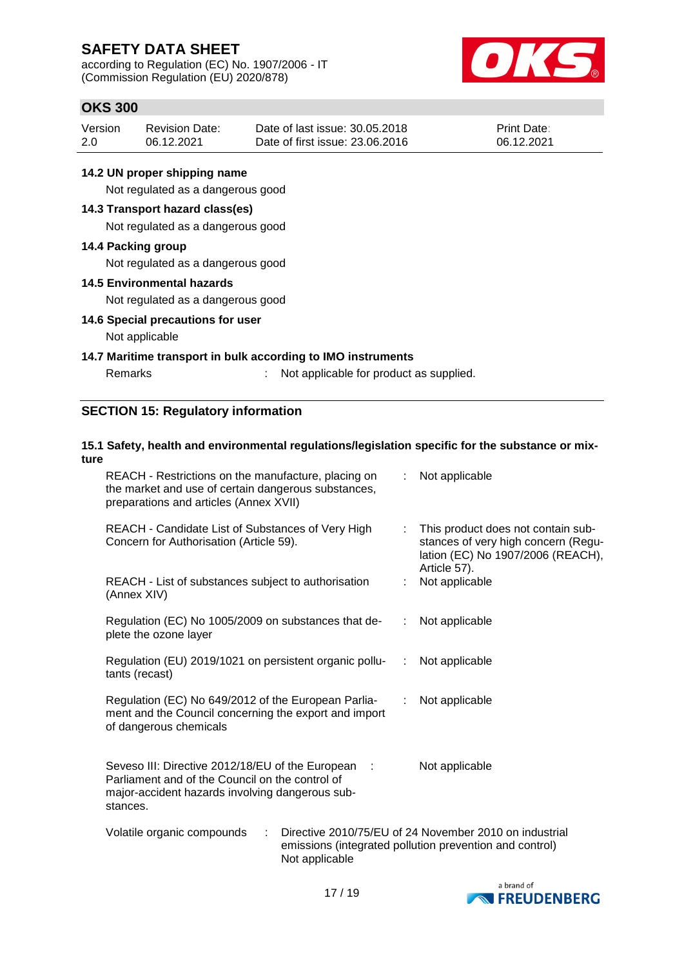according to Regulation (EC) No. 1907/2006 - IT (Commission Regulation (EU) 2020/878)



### **OKS 300**

| Version | <b>Revision Date:</b> | Date of last issue: 30.05.2018  | <b>Print Date:</b> |
|---------|-----------------------|---------------------------------|--------------------|
| 2.0     | 06.12.2021            | Date of first issue: 23,06,2016 | 06.12.2021         |

### **14.2 UN proper shipping name**

Not regulated as a dangerous good

### **14.3 Transport hazard class(es)**

Not regulated as a dangerous good

#### **14.4 Packing group**

Not regulated as a dangerous good

#### **14.5 Environmental hazards**

Not regulated as a dangerous good

#### **14.6 Special precautions for user**

#### Not applicable

#### **14.7 Maritime transport in bulk according to IMO instruments**

Remarks : Not applicable for product as supplied.

### **SECTION 15: Regulatory information**

#### **15.1 Safety, health and environmental regulations/legislation specific for the substance or mixture** REACH - Restrictions on the manufacture, placing on : Not applicable

| <u>KENOH – Koolitolioho on lito manaraolaro, piaolity on </u><br>the market and use of certain dangerous substances,<br>preparations and articles (Annex XVII)       | . TVG applicable                                                                                                               |
|----------------------------------------------------------------------------------------------------------------------------------------------------------------------|--------------------------------------------------------------------------------------------------------------------------------|
| REACH - Candidate List of Substances of Very High<br>Concern for Authorisation (Article 59).                                                                         | This product does not contain sub-<br>stances of very high concern (Regu-<br>lation (EC) No 1907/2006 (REACH),<br>Article 57). |
| REACH - List of substances subject to authorisation<br>(Annex XIV)                                                                                                   | Not applicable                                                                                                                 |
| Regulation (EC) No 1005/2009 on substances that de-<br>plete the ozone layer                                                                                         | : Not applicable                                                                                                               |
| Regulation (EU) 2019/1021 on persistent organic pollu- : Not applicable<br>tants (recast)                                                                            |                                                                                                                                |
| Regulation (EC) No 649/2012 of the European Parlia-<br>ment and the Council concerning the export and import<br>of dangerous chemicals                               | : Not applicable                                                                                                               |
| Seveso III: Directive 2012/18/EU of the European :<br>Parliament and of the Council on the control of<br>major-accident hazards involving dangerous sub-<br>stances. | Not applicable                                                                                                                 |
| Volatile organic compounds<br>÷<br>Not applicable                                                                                                                    | Directive 2010/75/EU of 24 November 2010 on industrial<br>emissions (integrated pollution prevention and control)              |

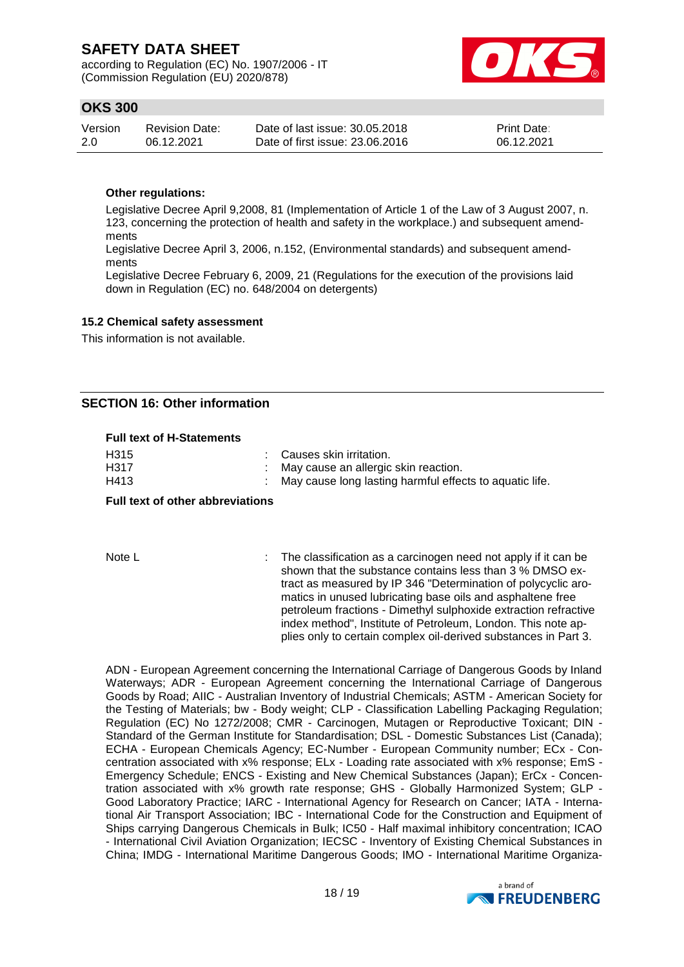according to Regulation (EC) No. 1907/2006 - IT (Commission Regulation (EU) 2020/878)



### **OKS 300**

| Version | <b>Revision Date:</b> | Date of last issue: 30.05.2018  | <b>Print Date:</b> |
|---------|-----------------------|---------------------------------|--------------------|
| 2.0     | 06.12.2021            | Date of first issue: 23,06,2016 | 06.12.2021         |

#### **Other regulations:**

Legislative Decree April 9,2008, 81 (Implementation of Article 1 of the Law of 3 August 2007, n. 123, concerning the protection of health and safety in the workplace.) and subsequent amendments

Legislative Decree April 3, 2006, n.152, (Environmental standards) and subsequent amendments

Legislative Decree February 6, 2009, 21 (Regulations for the execution of the provisions laid down in Regulation (EC) no. 648/2004 on detergents)

#### **15.2 Chemical safety assessment**

This information is not available.

### **SECTION 16: Other information**

#### **Full text of H-Statements**

| <b>Full text of other abbreviations</b> |                                                           |
|-----------------------------------------|-----------------------------------------------------------|
| H413                                    | : May cause long lasting harmful effects to aquatic life. |
| H317                                    | : May cause an allergic skin reaction.                    |
| H315                                    | : Causes skin irritation.                                 |

Note L **interpresent in the classification as a carcinogen need not apply if it can be** shown that the substance contains less than 3 % DMSO extract as measured by IP 346 "Determination of polycyclic aromatics in unused lubricating base oils and asphaltene free petroleum fractions - Dimethyl sulphoxide extraction refractive index method", Institute of Petroleum, London. This note applies only to certain complex oil-derived substances in Part 3.

ADN - European Agreement concerning the International Carriage of Dangerous Goods by Inland Waterways; ADR - European Agreement concerning the International Carriage of Dangerous Goods by Road; AIIC - Australian Inventory of Industrial Chemicals; ASTM - American Society for the Testing of Materials; bw - Body weight; CLP - Classification Labelling Packaging Regulation; Regulation (EC) No 1272/2008; CMR - Carcinogen, Mutagen or Reproductive Toxicant; DIN - Standard of the German Institute for Standardisation; DSL - Domestic Substances List (Canada); ECHA - European Chemicals Agency; EC-Number - European Community number; ECx - Concentration associated with x% response; ELx - Loading rate associated with x% response; EmS - Emergency Schedule; ENCS - Existing and New Chemical Substances (Japan); ErCx - Concentration associated with x% growth rate response; GHS - Globally Harmonized System; GLP - Good Laboratory Practice; IARC - International Agency for Research on Cancer; IATA - International Air Transport Association; IBC - International Code for the Construction and Equipment of Ships carrying Dangerous Chemicals in Bulk; IC50 - Half maximal inhibitory concentration; ICAO - International Civil Aviation Organization; IECSC - Inventory of Existing Chemical Substances in China; IMDG - International Maritime Dangerous Goods; IMO - International Maritime Organiza-